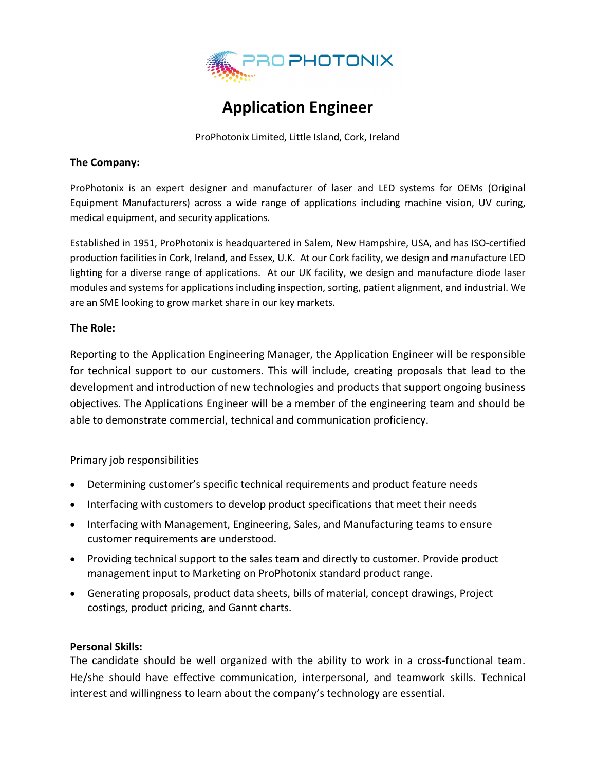

# **Application Engineer**

ProPhotonix Limited, Little Island, Cork, Ireland

#### **The Company:**

ProPhotonix is an expert designer and manufacturer of laser and LED systems for OEMs (Original Equipment Manufacturers) across a wide range of applications including machine vision, UV curing, medical equipment, and security applications.

Established in 1951, ProPhotonix is headquartered in Salem, New Hampshire, USA, and has ISO-certified production facilities in Cork, Ireland, and Essex, U.K. At our Cork facility, we design and manufacture LED lighting for a diverse range of applications. At our UK facility, we design and manufacture diode laser modules and systems for applications including inspection, sorting, patient alignment, and industrial. We are an SME looking to grow market share in our key markets.

### **The Role:**

Reporting to the Application Engineering Manager, the Application Engineer will be responsible for technical support to our customers. This will include, creating proposals that lead to the development and introduction of new technologies and products that support ongoing business objectives. The Applications Engineer will be a member of the engineering team and should be able to demonstrate commercial, technical and communication proficiency.

Primary job responsibilities

- Determining customer's specific technical requirements and product feature needs
- Interfacing with customers to develop product specifications that meet their needs
- Interfacing with Management, Engineering, Sales, and Manufacturing teams to ensure customer requirements are understood.
- Providing technical support to the sales team and directly to customer. Provide product management input to Marketing on ProPhotonix standard product range.
- Generating proposals, product data sheets, bills of material, concept drawings, Project costings, product pricing, and Gannt charts.

## **Personal Skills:**

The candidate should be well organized with the ability to work in a cross-functional team. He/she should have effective communication, interpersonal, and teamwork skills. Technical interest and willingness to learn about the company's technology are essential.